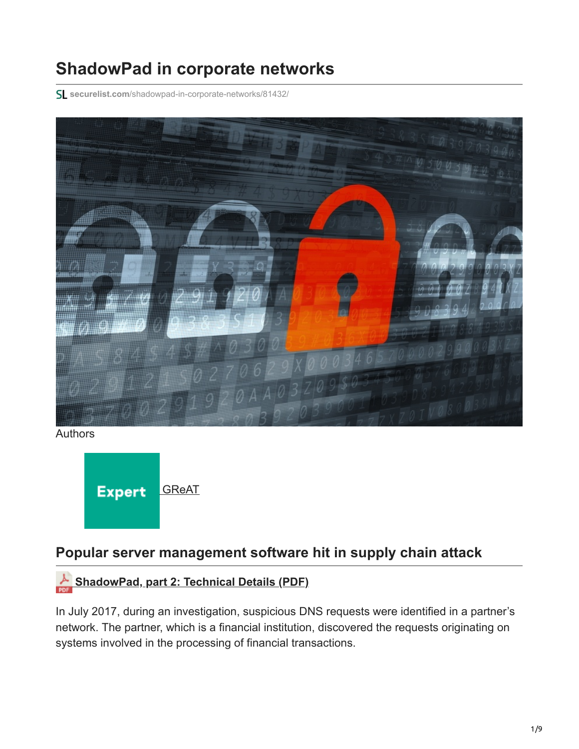# **ShadowPad in corporate networks**

**securelist.com**[/shadowpad-in-corporate-networks/81432/](https://securelist.com/shadowpad-in-corporate-networks/81432/)



Authors



### **Popular server management software hit in supply chain attack**

## **[ShadowPad, part 2: Technical Details \(PDF\)](https://media.kasperskycontenthub.com/wp-content/uploads/sites/43/2017/08/07172148/ShadowPad_technical_description_PDF.pdf)**

In July 2017, during an investigation, suspicious DNS requests were identified in a partner's network. The partner, which is a financial institution, discovered the requests originating on systems involved in the processing of financial transactions.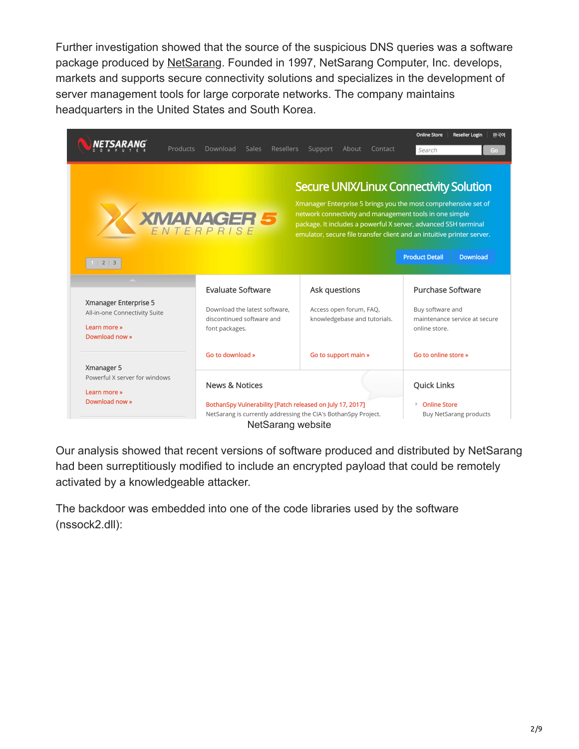Further investigation showed that the source of the suspicious DNS queries was a software package produced by [NetSarang.](https://www.netsarang.com/en/) Founded in 1997, NetSarang Computer, Inc. develops, markets and supports secure connectivity solutions and specializes in the development of server management tools for large corporate networks. The company maintains headquarters in the United States and South Korea.



Our analysis showed that recent versions of software produced and distributed by NetSarang had been surreptitiously modified to include an encrypted payload that could be remotely activated by a knowledgeable attacker.

The backdoor was embedded into one of the code libraries used by the software (nssock2.dll):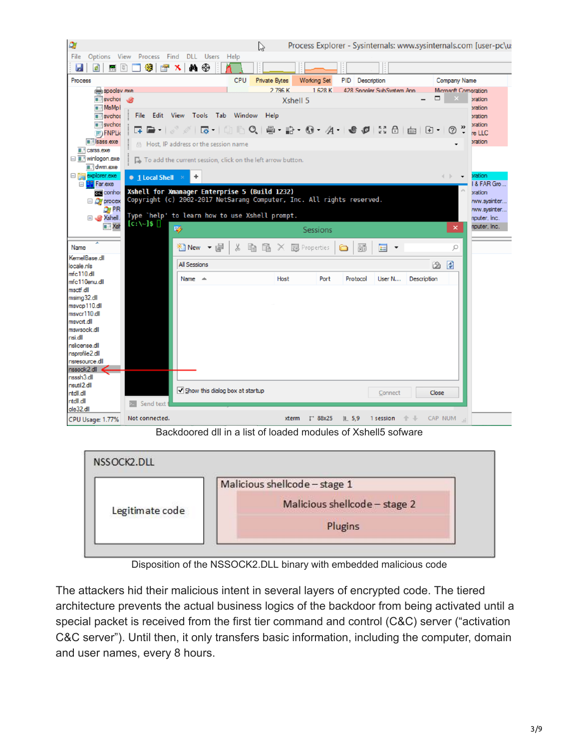

Backdoored dll in a list of loaded modules of Xshell5 sofware



Disposition of the NSSOCK2.DLL binary with embedded malicious code

The attackers hid their malicious intent in several layers of encrypted code. The tiered architecture prevents the actual business logics of the backdoor from being activated until a special packet is received from the first tier command and control (C&C) server ("activation C&C server"). Until then, it only transfers basic information, including the computer, domain and user names, every 8 hours.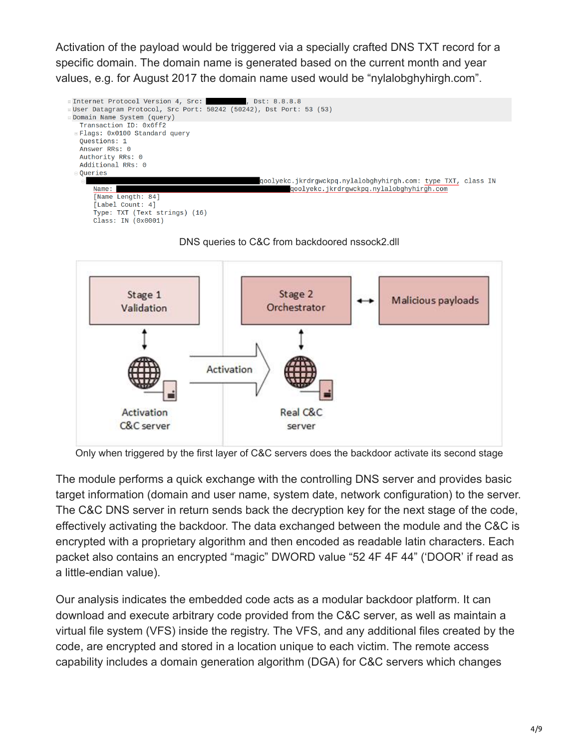Activation of the payload would be triggered via a specially crafted DNS TXT record for a specific domain. The domain name is generated based on the current month and year values, e.g. for August 2017 the domain name used would be "nylalobghyhirgh.com".







Only when triggered by the first layer of C&C servers does the backdoor activate its second stage

The module performs a quick exchange with the controlling DNS server and provides basic target information (domain and user name, system date, network configuration) to the server. The C&C DNS server in return sends back the decryption key for the next stage of the code, effectively activating the backdoor. The data exchanged between the module and the C&C is encrypted with a proprietary algorithm and then encoded as readable latin characters. Each packet also contains an encrypted "magic" DWORD value "52 4F 4F 44" ('DOOR' if read as a little-endian value).

Our analysis indicates the embedded code acts as a modular backdoor platform. It can download and execute arbitrary code provided from the C&C server, as well as maintain a virtual file system (VFS) inside the registry. The VFS, and any additional files created by the code, are encrypted and stored in a location unique to each victim. The remote access capability includes a domain generation algorithm (DGA) for C&C servers which changes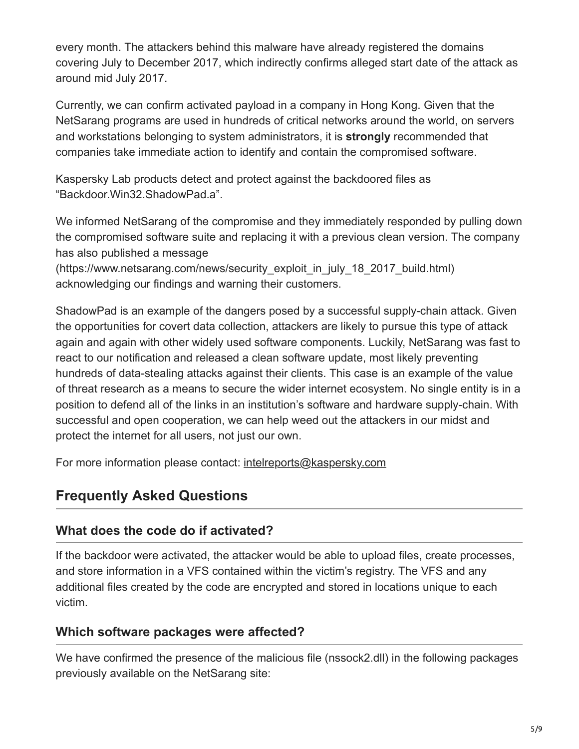every month. The attackers behind this malware have already registered the domains covering July to December 2017, which indirectly confirms alleged start date of the attack as around mid July 2017.

Currently, we can confirm activated payload in a company in Hong Kong. Given that the NetSarang programs are used in hundreds of critical networks around the world, on servers and workstations belonging to system administrators, it is **strongly** recommended that companies take immediate action to identify and contain the compromised software.

Kaspersky Lab products detect and protect against the backdoored files as "Backdoor.Win32.ShadowPad.a".

We informed NetSarang of the compromise and they immediately responded by pulling down the compromised software suite and replacing it with a previous clean version. The company has also published a message

(https://www.netsarang.com/news/security\_exploit\_in\_july\_18\_2017\_build.html) acknowledging our findings and warning their customers.

ShadowPad is an example of the dangers posed by a successful supply-chain attack. Given the opportunities for covert data collection, attackers are likely to pursue this type of attack again and again with other widely used software components. Luckily, NetSarang was fast to react to our notification and released a clean software update, most likely preventing hundreds of data-stealing attacks against their clients. This case is an example of the value of threat research as a means to secure the wider internet ecosystem. No single entity is in a position to defend all of the links in an institution's software and hardware supply-chain. With successful and open cooperation, we can help weed out the attackers in our midst and protect the internet for all users, not just our own.

For more information please contact: [intelreports@kaspersky.com](http://10.10.0.46/mailto:intelreports@kaspersky.com)

## **Frequently Asked Questions**

#### **What does the code do if activated?**

If the backdoor were activated, the attacker would be able to upload files, create processes, and store information in a VFS contained within the victim's registry. The VFS and any additional files created by the code are encrypted and stored in locations unique to each victim.

#### **Which software packages were affected?**

We have confirmed the presence of the malicious file (nssock2.dll) in the following packages previously available on the NetSarang site: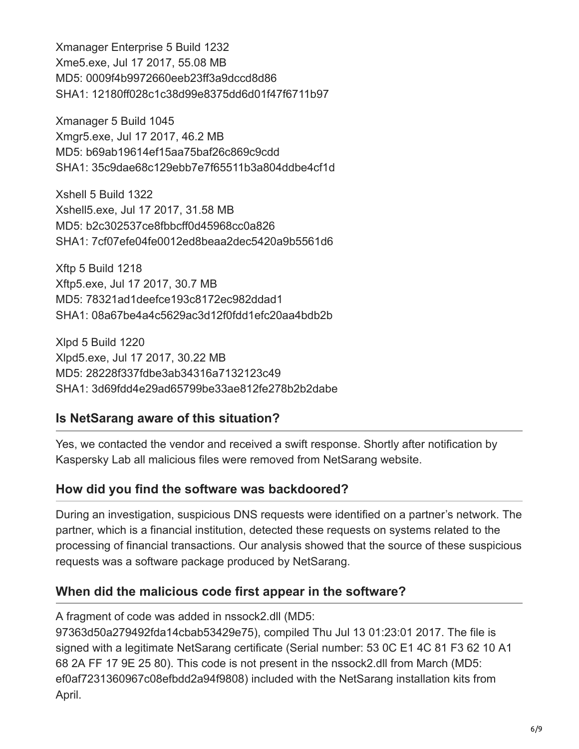Xmanager Enterprise 5 Build 1232 Xme5.exe, Jul 17 2017, 55.08 MB MD5: 0009f4b9972660eeb23ff3a9dccd8d86 SHA1: 12180ff028c1c38d99e8375dd6d01f47f6711b97

Xmanager 5 Build 1045 Xmgr5.exe, Jul 17 2017, 46.2 MB MD5: b69ab19614ef15aa75baf26c869c9cdd SHA1: 35c9dae68c129ebb7e7f65511b3a804ddbe4cf1d

Xshell 5 Build 1322 Xshell5.exe, Jul 17 2017, 31.58 MB MD5: b2c302537ce8fbbcff0d45968cc0a826 SHA1: 7cf07efe04fe0012ed8beaa2dec5420a9b5561d6

Xftp 5 Build 1218 Xftp5.exe, Jul 17 2017, 30.7 MB MD5: 78321ad1deefce193c8172ec982ddad1 SHA1: 08a67be4a4c5629ac3d12f0fdd1efc20aa4bdb2b

Xlpd 5 Build 1220 Xlpd5.exe, Jul 17 2017, 30.22 MB MD5: 28228f337fdbe3ab34316a7132123c49 SHA1: 3d69fdd4e29ad65799be33ae812fe278b2b2dabe

#### **Is NetSarang aware of this situation?**

Yes, we contacted the vendor and received a swift response. Shortly after notification by Kaspersky Lab all malicious files were removed from NetSarang website.

#### **How did you find the software was backdoored?**

During an investigation, suspicious DNS requests were identified on a partner's network. The partner, which is a financial institution, detected these requests on systems related to the processing of financial transactions. Our analysis showed that the source of these suspicious requests was a software package produced by NetSarang.

#### **When did the malicious code first appear in the software?**

A fragment of code was added in nssock2.dll (MD5:

97363d50a279492fda14cbab53429e75), compiled Thu Jul 13 01:23:01 2017. The file is signed with a legitimate NetSarang certificate (Serial number: 53 0C E1 4C 81 F3 62 10 A1 68 2A FF 17 9E 25 80). This code is not present in the nssock2.dll from March (MD5: ef0af7231360967c08efbdd2a94f9808) included with the NetSarang installation kits from April.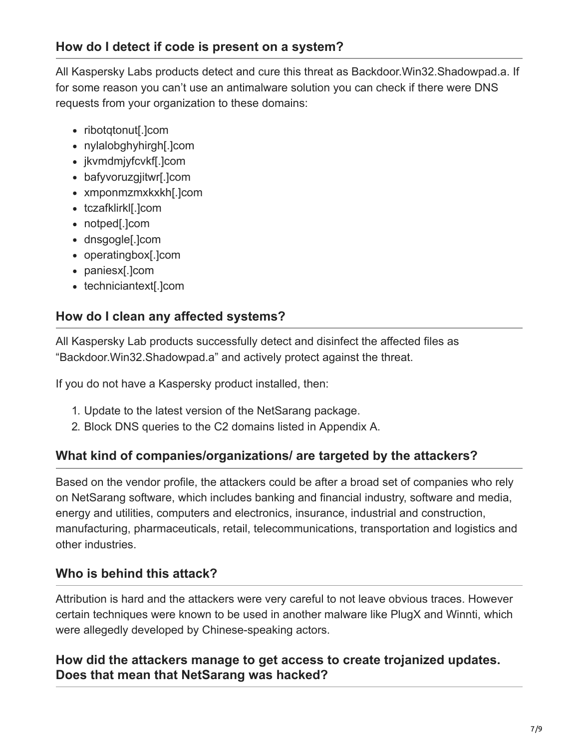All Kaspersky Labs products detect and cure this threat as Backdoor.Win32.Shadowpad.a. If for some reason you can't use an antimalware solution you can check if there were DNS requests from your organization to these domains:

- ribotgtonut[.]com
- nylalobghyhirgh[.]com
- jkvmdmjyfcvkf[.]com
- bafyvoruzgjitwr[.]com
- xmponmzmxkxkh[.]com
- tczafklirkl[.]com
- notped[.]com
- dnsgogle[.]com
- operatingbox[.]com
- paniesx[.]com
- techniciantext[.]com

#### **How do I clean any affected systems?**

All Kaspersky Lab products successfully detect and disinfect the affected files as "Backdoor.Win32.Shadowpad.a" and actively protect against the threat.

If you do not have a Kaspersky product installed, then:

- 1. Update to the latest version of the NetSarang package.
- 2. Block DNS queries to the C2 domains listed in Appendix A.

#### **What kind of companies/organizations/ are targeted by the attackers?**

Based on the vendor profile, the attackers could be after a broad set of companies who rely on NetSarang software, which includes banking and financial industry, software and media, energy and utilities, computers and electronics, insurance, industrial and construction, manufacturing, pharmaceuticals, retail, telecommunications, transportation and logistics and other industries.

#### **Who is behind this attack?**

Attribution is hard and the attackers were very careful to not leave obvious traces. However certain techniques were known to be used in another malware like PlugX and Winnti, which were allegedly developed by Chinese-speaking actors.

#### **How did the attackers manage to get access to create trojanized updates. Does that mean that NetSarang was hacked?**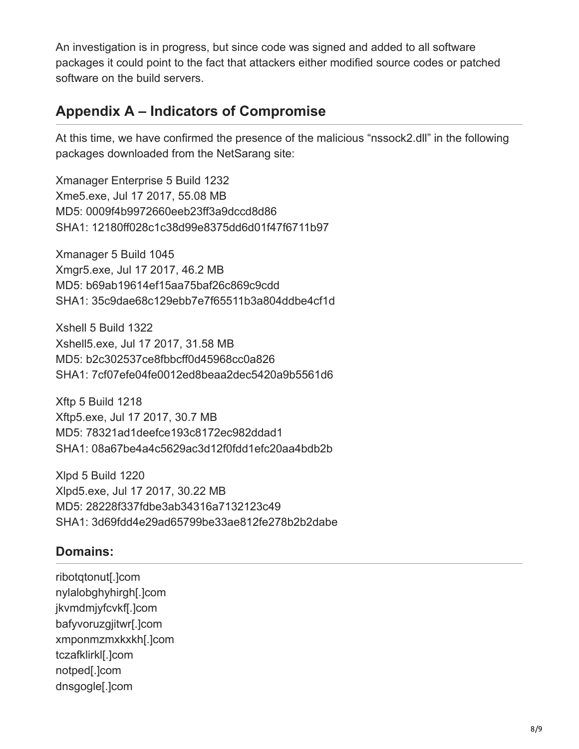An investigation is in progress, but since code was signed and added to all software packages it could point to the fact that attackers either modified source codes or patched software on the build servers.

## **Appendix A – Indicators of Compromise**

At this time, we have confirmed the presence of the malicious "nssock2.dll" in the following packages downloaded from the NetSarang site:

Xmanager Enterprise 5 Build 1232 Xme5.exe, Jul 17 2017, 55.08 MB MD5: 0009f4b9972660eeb23ff3a9dccd8d86 SHA1: 12180ff028c1c38d99e8375dd6d01f47f6711b97

Xmanager 5 Build 1045 Xmgr5.exe, Jul 17 2017, 46.2 MB MD5: b69ab19614ef15aa75baf26c869c9cdd SHA1: 35c9dae68c129ebb7e7f65511b3a804ddbe4cf1d

Xshell 5 Build 1322 Xshell5.exe, Jul 17 2017, 31.58 MB MD5: b2c302537ce8fbbcff0d45968cc0a826 SHA1: 7cf07efe04fe0012ed8beaa2dec5420a9b5561d6

Xftp 5 Build 1218 Xftp5.exe, Jul 17 2017, 30.7 MB MD5: 78321ad1deefce193c8172ec982ddad1 SHA1: 08a67be4a4c5629ac3d12f0fdd1efc20aa4bdb2b

Xlpd 5 Build 1220 Xlpd5.exe, Jul 17 2017, 30.22 MB MD5: 28228f337fdbe3ab34316a7132123c49 SHA1: 3d69fdd4e29ad65799be33ae812fe278b2b2dabe

#### **Domains:**

ribotqtonut[.]com nylalobghyhirgh[.]com jkvmdmjyfcvkf[.]com bafyvoruzgjitwr[.]com xmponmzmxkxkh[.]com tczafklirkl[.]com notped[.]com dnsgogle[.]com